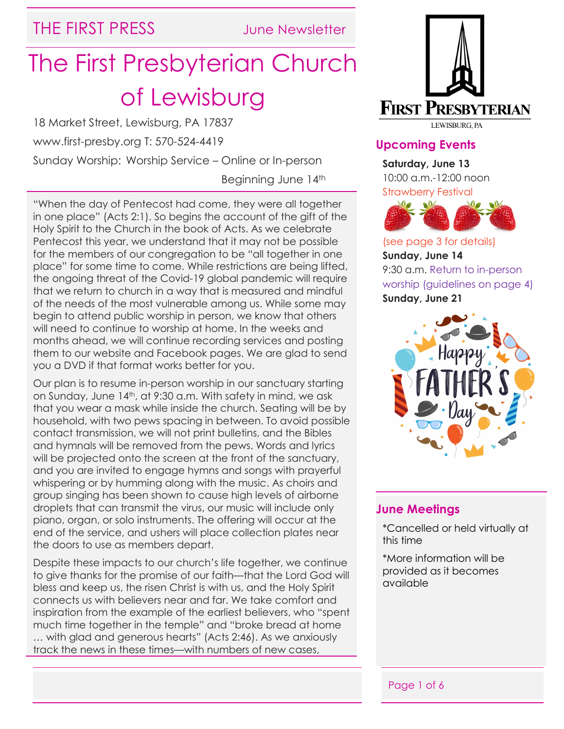### THE FIRST PRESS June Newsletter

# The First Presbyterian Church of Lewisburg

18 Market Street, Lewisburg, PA 17837

www.first-presby.org T: 570-524-4419

Sunday Worship: Worship Service – Online or In-person

Beginning June 14th

"When the day of Pentecost had come, they were all together in one place" (Acts 2:1). So begins the account of the gift of the Holy Spirit to the Church in the book of Acts. As we celebrate Pentecost this year, we understand that it may not be possible for the members of our congregation to be "all together in one place" for some time to come. While restrictions are being lifted, the ongoing threat of the Covid-19 global pandemic will require that we return to church in a way that is measured and mindful of the needs of the most vulnerable among us. While some may begin to attend public worship in person, we know that others will need to continue to worship at home. In the weeks and months ahead, we will continue recording services and posting them to our website and Facebook pages. We are glad to send you a DVD if that format works better for you.

Our plan is to resume in-person worship in our sanctuary starting on Sunday, June 14th, at 9:30 a.m. With safety in mind, we ask that you wear a mask while inside the church. Seating will be by household, with two pews spacing in between. To avoid possible contact transmission, we will not print bulletins, and the Bibles and hymnals will be removed from the pews. Words and lyrics will be projected onto the screen at the front of the sanctuary, and you are invited to engage hymns and songs with prayerful whispering or by humming along with the music. As choirs and group singing has been shown to cause high levels of airborne droplets that can transmit the virus, our music will include only piano, organ, or solo instruments. The offering will occur at the end of the service, and ushers will place collection plates near the doors to use as members depart.

Despite these impacts to our church's life together, we continue to give thanks for the promise of our faith—that the Lord God will bless and keep us, the risen Christ is with us, and the Holy Spirit connects us with believers near and far. We take comfort and inspiration from the example of the earliest believers, who "spent much time together in the temple" and "broke bread at home … with glad and generous hearts" (Acts 2:46). As we anxiously track the news in these times—with numbers of new cases,



#### **Upcoming Events**

**Saturday, June 13**

10:00 a.m.-12:00 noon Strawberry Festival



(see page 3 for details) **Sunday, June 14** 9:30 a.m. Return to in-person worship (guidelines on page 4) **Sunday, June 21**



#### **June Meetings**

\*Cancelled or held virtually at this time

\*More information will be provided as it becomes available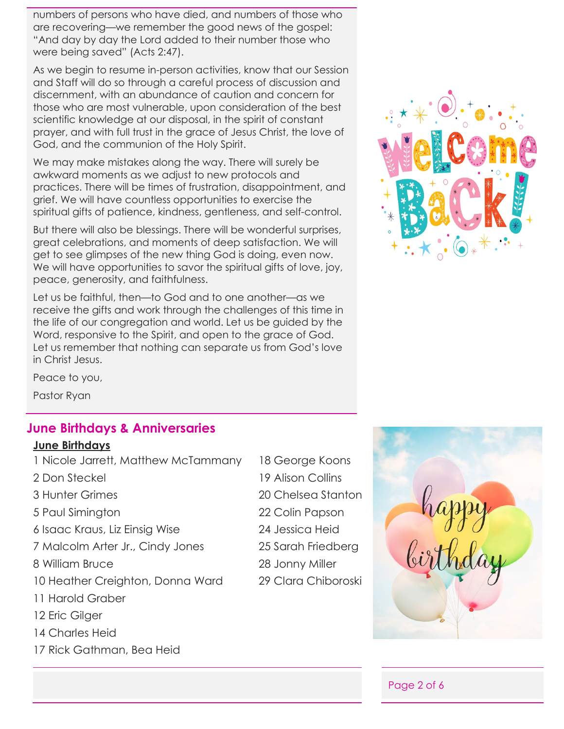numbers of persons who have died, and numbers of those who are recovering—we remember the good news of the gospel: "And day by day the Lord added to their number those who were being saved" (Acts 2:47).

As we begin to resume in-person activities, know that our Session and Staff will do so through a careful process of discussion and discernment, with an abundance of caution and concern for those who are most vulnerable, upon consideration of the best scientific knowledge at our disposal, in the spirit of constant prayer, and with full trust in the grace of Jesus Christ, the love of God, and the communion of the Holy Spirit.

We may make mistakes along the way. There will surely be awkward moments as we adjust to new protocols and practices. There will be times of frustration, disappointment, and grief. We will have countless opportunities to exercise the spiritual gifts of patience, kindness, gentleness, and self-control.

But there will also be blessings. There will be wonderful surprises, great celebrations, and moments of deep satisfaction. We will get to see glimpses of the new thing God is doing, even now. We will have opportunities to savor the spiritual gifts of love, joy, peace, generosity, and faithfulness.

Let us be faithful, then—to God and to one another—as we receive the gifts and work through the challenges of this time in the life of our congregation and world. Let us be guided by the Word, responsive to the Spirit, and open to the grace of God. Let us remember that nothing can separate us from God's love in Christ Jesus.



Peace to you,

Pastor Ryan

#### **June Birthdays & Anniversaries**

#### **June Birthdays**

| 1 Nicole Jarrett, Matthew McTammany | 18 George Koons     |
|-------------------------------------|---------------------|
| 2 Don Steckel                       | 19 Alison Collins   |
| <b>3 Hunter Grimes</b>              | 20 Chelsea Stanton  |
| 5 Paul Simington                    | 22 Colin Papson     |
| 6 Isaac Kraus, Liz Einsig Wise      | 24 Jessica Heid     |
| 7 Malcolm Arter Jr., Cindy Jones    | 25 Sarah Friedberg  |
| 8 William Bruce                     | 28 Jonny Miller     |
| 10 Heather Creighton, Donna Ward    | 29 Clara Chiboroski |
| 11 Harold Graber                    |                     |
| 12 Eric Gilger                      |                     |
| 14 Charles Heid                     |                     |
| 17 Rick Gathman, Bea Heid           |                     |
|                                     |                     |
|                                     |                     |

| <u>id George Koons</u> |
|------------------------|
| 19 Alison Collins      |
| 20 Chelsea Stanton     |
| 22 Colin Papson        |
| 24 Jessica Heid        |
| 25 Sarah Friedberg     |
| 28 Jonny Miller        |
| 29 Clara Chiboroski    |
|                        |



Page 2 of 6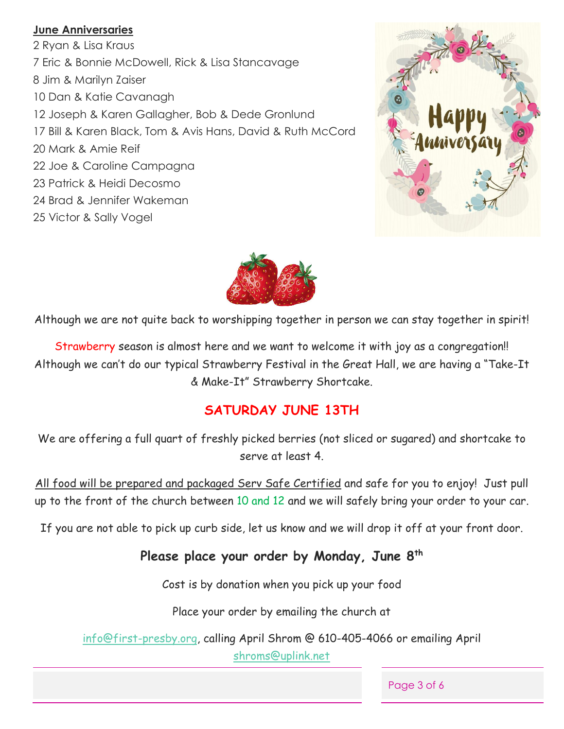#### **June Anniversaries**

2 Ryan & Lisa Kraus 7 Eric & Bonnie McDowell, Rick & Lisa Stancavage 8 Jim & Marilyn Zaiser 10 Dan & Katie Cavanagh 12 Joseph & Karen Gallagher, Bob & Dede Gronlund 17 Bill & Karen Black, Tom & Avis Hans, David & Ruth McCord 20 Mark & Amie Reif 22 Joe & Caroline Campagna 23 Patrick & Heidi Decosmo 24 Brad & Jennifer Wakeman 25 Victor & Sally Vogel





Although we are not quite back to worshipping together in person we can stay together in spirit!

Strawberry season is almost here and we want to welcome it with joy as a congregation!! Although we can't do our typical Strawberry Festival in the Great Hall, we are having a "Take-It & Make-It" Strawberry Shortcake.

#### **SATURDAY JUNE 13TH**

We are offering a full quart of freshly picked berries (not sliced or sugared) and shortcake to serve at least 4.

All food will be prepared and packaged Serv Safe Certified and safe for you to enjoy! Just pull up to the front of the church between 10 and 12 and we will safely bring your order to your car.

If you are not able to pick up curb side, let us know and we will drop it off at your front door.

#### **Please place your order by Monday, June 8th**

Cost is by donation when you pick up your food

Place your order by emailing the church at

[info@first-presby.org,](mailto:info@first-presby.org) calling April Shrom @ 610-405-4066 or emailing April [shroms@uplink.net](mailto:shroms@uplink.net)

Page 3 of 6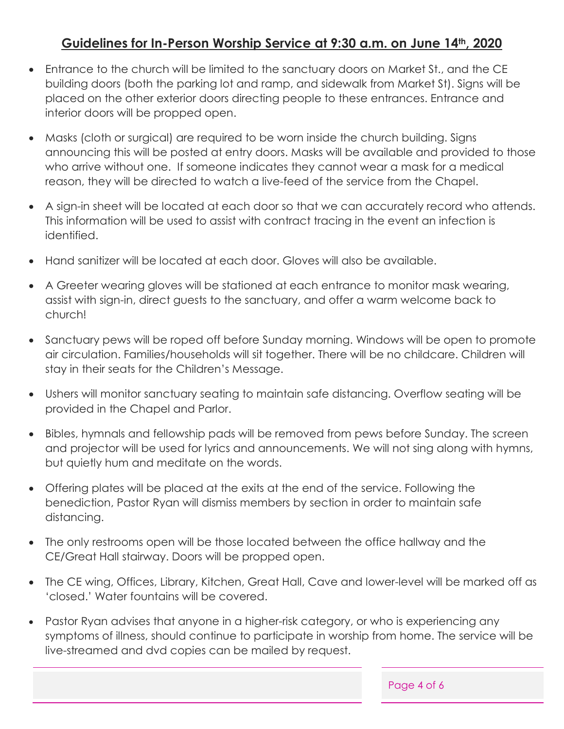#### **Guidelines for In-Person Worship Service at 9:30 a.m. on June 14th, 2020**

- Entrance to the church will be limited to the sanctuary doors on Market St., and the CE building doors (both the parking lot and ramp, and sidewalk from Market St). Signs will be placed on the other exterior doors directing people to these entrances. Entrance and interior doors will be propped open.
- Masks (cloth or surgical) are required to be worn inside the church building. Signs announcing this will be posted at entry doors. Masks will be available and provided to those who arrive without one. If someone indicates they cannot wear a mask for a medical reason, they will be directed to watch a live-feed of the service from the Chapel.
- A sign-in sheet will be located at each door so that we can accurately record who attends. This information will be used to assist with contract tracing in the event an infection is identified.
- Hand sanitizer will be located at each door. Gloves will also be available.
- A Greeter wearing gloves will be stationed at each entrance to monitor mask wearing, assist with sign-in, direct guests to the sanctuary, and offer a warm welcome back to church!
- Sanctuary pews will be roped off before Sunday morning. Windows will be open to promote air circulation. Families/households will sit together. There will be no childcare. Children will stay in their seats for the Children's Message.
- Ushers will monitor sanctuary seating to maintain safe distancing. Overflow seating will be provided in the Chapel and Parlor.
- Bibles, hymnals and fellowship pads will be removed from pews before Sunday. The screen and projector will be used for lyrics and announcements. We will not sing along with hymns, but quietly hum and meditate on the words.
- Offering plates will be placed at the exits at the end of the service. Following the benediction, Pastor Ryan will dismiss members by section in order to maintain safe distancing.
- The only restrooms open will be those located between the office hallway and the CE/Great Hall stairway. Doors will be propped open.
- The CE wing, Offices, Library, Kitchen, Great Hall, Cave and lower-level will be marked off as 'closed.' Water fountains will be covered.
- Pastor Ryan advises that anyone in a higher-risk category, or who is experiencing any symptoms of illness, should continue to participate in worship from home. The service will be live-streamed and dvd copies can be mailed by request.

Page 4 of 6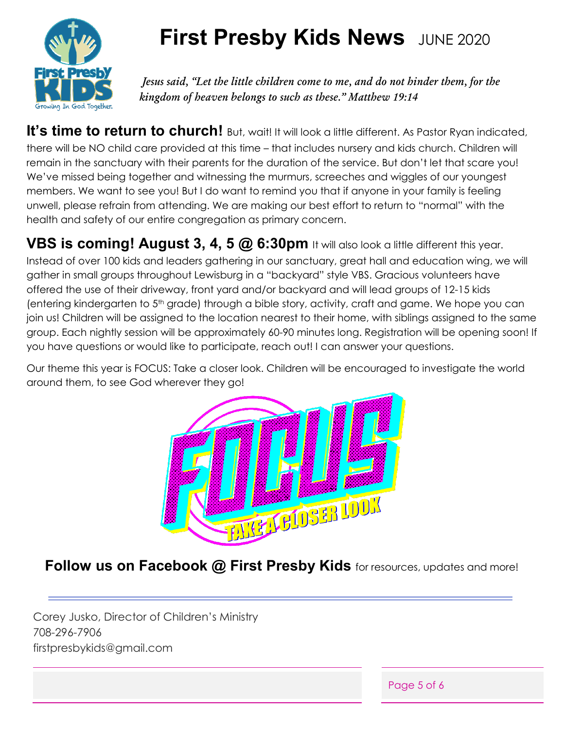

# **First Presby Kids News** JUNE 2020

*Jesus said, "Let the little children come to me, and do not hinder them, for the kingdom of heaven belongs to such as these." Matthew 19:14*

It's time to return to church! But, wait! It will look a little different. As Pastor Ryan indicated, there will be NO child care provided at this time – that includes nursery and kids church. Children will remain in the sanctuary with their parents for the duration of the service. But don't let that scare you! We've missed being together and witnessing the murmurs, screeches and wiggles of our youngest members. We want to see you! But I do want to remind you that if anyone in your family is feeling unwell, please refrain from attending. We are making our best effort to return to "normal" with the health and safety of our entire congregation as primary concern.

**VBS is coming! August 3, 4, 5 @ 6:30pm** It will also look a little different this year. Instead of over 100 kids and leaders gathering in our sanctuary, great hall and education wing, we will gather in small groups throughout Lewisburg in a "backyard" style VBS. Gracious volunteers have offered the use of their driveway, front yard and/or backyard and will lead groups of 12-15 kids (entering kindergarten to 5th grade) through a bible story, activity, craft and game. We hope you can join us! Children will be assigned to the location nearest to their home, with siblings assigned to the same group. Each nightly session will be approximately 60-90 minutes long. Registration will be opening soon! If you have questions or would like to participate, reach out! I can answer your questions.

Our theme this year is FOCUS: Take a closer look. Children will be encouraged to investigate the world around them, to see God wherever they go!



**Follow us on Facebook @ First Presby Kids** for resources, updates and more!

Corey Jusko, Director of Children's Ministry 708-296-7906 firstpresbykids@gmail.com

Page 5 of 6